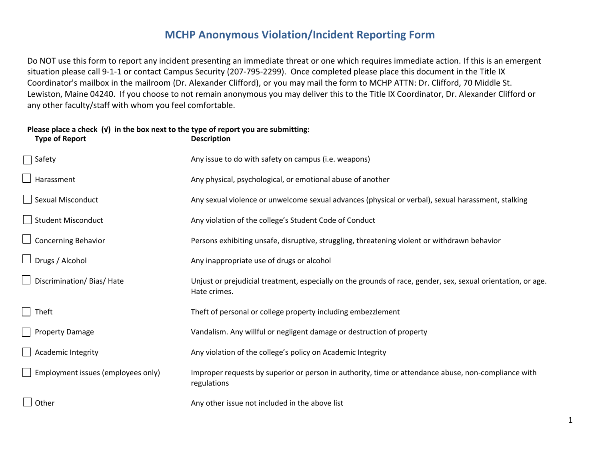## **MCHP Anonymous Violation/Incident Reporting Form**

Do NOT use this form to report any incident presenting an immediate threat or one which requires immediate action. If this is an emergent situation please call 9-1-1 or contact Campus Security (207-795-2299). Once completed please place this document in the Title IX Coordinator's mailbox in the mailroom (Dr. Alexander Clifford), or you may mail the form to MCHP ATTN: Dr. Clifford, 70 Middle St. Lewiston, Maine 04240. If you choose to not remain anonymous you may deliver this to the Title IX Coordinator, Dr. Alexander Clifford or any other faculty/staff with whom you feel comfortable.

#### **Please place a check (√) in the box next to the type of report you are submitting: Type of Report**

| $\Box$ Safety                             | Any issue to do with safety on campus (i.e. weapons)                                                                         |
|-------------------------------------------|------------------------------------------------------------------------------------------------------------------------------|
| $\Box$ Harassment                         | Any physical, psychological, or emotional abuse of another                                                                   |
| Sexual Misconduct                         | Any sexual violence or unwelcome sexual advances (physical or verbal), sexual harassment, stalking                           |
| Student Misconduct                        | Any violation of the college's Student Code of Conduct                                                                       |
| $\Box$ Concerning Behavior                | Persons exhibiting unsafe, disruptive, struggling, threatening violent or withdrawn behavior                                 |
| $\Box$ Drugs / Alcohol                    | Any inappropriate use of drugs or alcohol                                                                                    |
| Discrimination/Bias/Hate                  | Unjust or prejudicial treatment, especially on the grounds of race, gender, sex, sexual orientation, or age.<br>Hate crimes. |
| $\Box$ Theft                              | Theft of personal or college property including embezzlement                                                                 |
| Property Damage                           | Vandalism. Any willful or negligent damage or destruction of property                                                        |
| Academic Integrity                        | Any violation of the college's policy on Academic Integrity                                                                  |
| $\Box$ Employment issues (employees only) | Improper requests by superior or person in authority, time or attendance abuse, non-compliance with<br>regulations           |
| $\Box$ Other                              | Any other issue not included in the above list                                                                               |
|                                           |                                                                                                                              |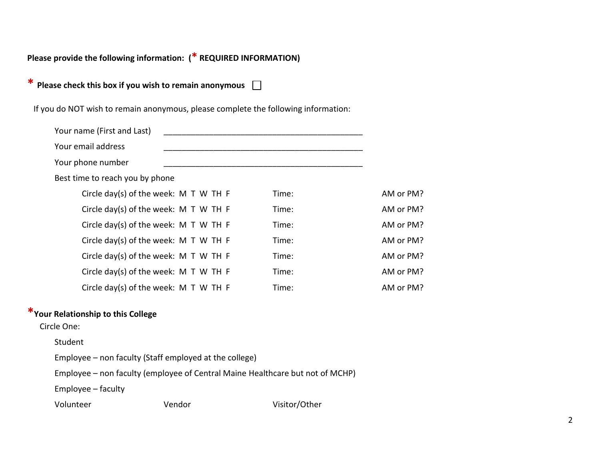**Please provide the following information: (\* REQUIRED INFORMATION)**

**\* Please check this box if you wish to remain anonymous** 

If you do NOT wish to remain anonymous, please complete the following information:

| Your name (First and Last)              |       |           |
|-----------------------------------------|-------|-----------|
| Your email address                      |       |           |
| Your phone number                       |       |           |
| Best time to reach you by phone         |       |           |
| Circle day(s) of the week: $M T W TH F$ | Time: | AM or PM? |
| Circle day(s) of the week: M T W TH F   | Time: | AM or PM? |
| Circle day(s) of the week: $M T W TH F$ | Time: | AM or PM? |
| Circle day(s) of the week: $M T W TH F$ | Time: | AM or PM? |
| Circle day(s) of the week: $M T W TH F$ | Time: | AM or PM? |
| Circle day(s) of the week: M T W TH F   | Time: | AM or PM? |
| Circle day(s) of the week: $M T W TH F$ | Time: | AM or PM? |

### **\*Your Relationship to this College**

Circle One:

#### Student

Employee – non faculty (Staff employed at the college)

Employee – non faculty (employee of Central Maine Healthcare but not of MCHP)

Employee – faculty

| Volunteer | Vendor | Visitor/Other |
|-----------|--------|---------------|
|-----------|--------|---------------|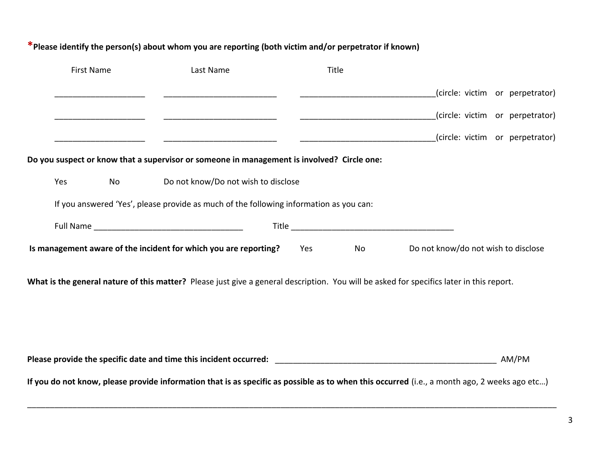| <b>First Name</b>                                                                          | Last Name                                                                                                                                | Title     |                                                                                                                                                       |  |  |  |
|--------------------------------------------------------------------------------------------|------------------------------------------------------------------------------------------------------------------------------------------|-----------|-------------------------------------------------------------------------------------------------------------------------------------------------------|--|--|--|
|                                                                                            |                                                                                                                                          |           | (circle: victim or perpetrator)                                                                                                                       |  |  |  |
|                                                                                            |                                                                                                                                          |           | (circle: victim or perpetrator)                                                                                                                       |  |  |  |
|                                                                                            |                                                                                                                                          |           | (circle: victim or perpetrator)                                                                                                                       |  |  |  |
| Do you suspect or know that a supervisor or someone in management is involved? Circle one: |                                                                                                                                          |           |                                                                                                                                                       |  |  |  |
| Yes<br><b>No</b>                                                                           | Do not know/Do not wish to disclose                                                                                                      |           |                                                                                                                                                       |  |  |  |
|                                                                                            | If you answered 'Yes', please provide as much of the following information as you can:                                                   |           |                                                                                                                                                       |  |  |  |
|                                                                                            |                                                                                                                                          |           |                                                                                                                                                       |  |  |  |
|                                                                                            | Is management aware of the incident for which you are reporting?                                                                         | Yes<br>No | Do not know/do not wish to disclose                                                                                                                   |  |  |  |
|                                                                                            | What is the general nature of this matter? Please just give a general description. You will be asked for specifics later in this report. |           |                                                                                                                                                       |  |  |  |
|                                                                                            |                                                                                                                                          |           | AM/PM<br>If you do not know, please provide information that is as specific as possible as to when this occurred (i.e., a month ago, 2 weeks ago etc) |  |  |  |

# **\*Please identify the person(s) about whom you are reporting (both victim and/or perpetrator if known)**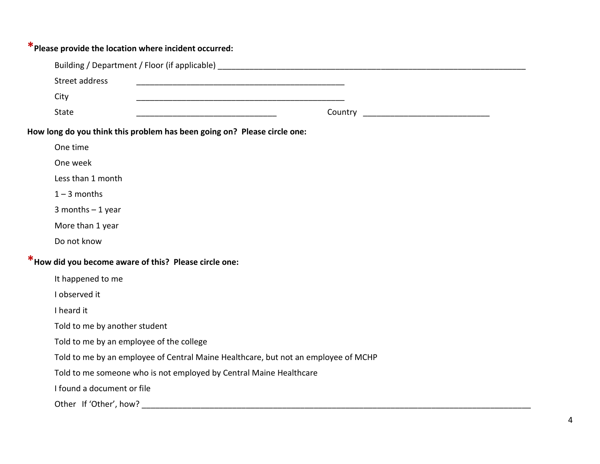| *Please provide the location where incident occurred:                              |
|------------------------------------------------------------------------------------|
|                                                                                    |
| Street address                                                                     |
| City                                                                               |
| <b>State</b><br>Country                                                            |
| How long do you think this problem has been going on? Please circle one:           |
| One time                                                                           |
| One week                                                                           |
| Less than 1 month                                                                  |
| $1 - 3$ months                                                                     |
| 3 months $-1$ year                                                                 |
| More than 1 year                                                                   |
| Do not know                                                                        |
| * How did you become aware of this? Please circle one:                             |
| It happened to me                                                                  |
| I observed it                                                                      |
| I heard it                                                                         |
| Told to me by another student                                                      |
| Told to me by an employee of the college                                           |
| Told to me by an employee of Central Maine Healthcare, but not an employee of MCHP |
| Told to me someone who is not employed by Central Maine Healthcare                 |
| I found a document or file                                                         |
|                                                                                    |